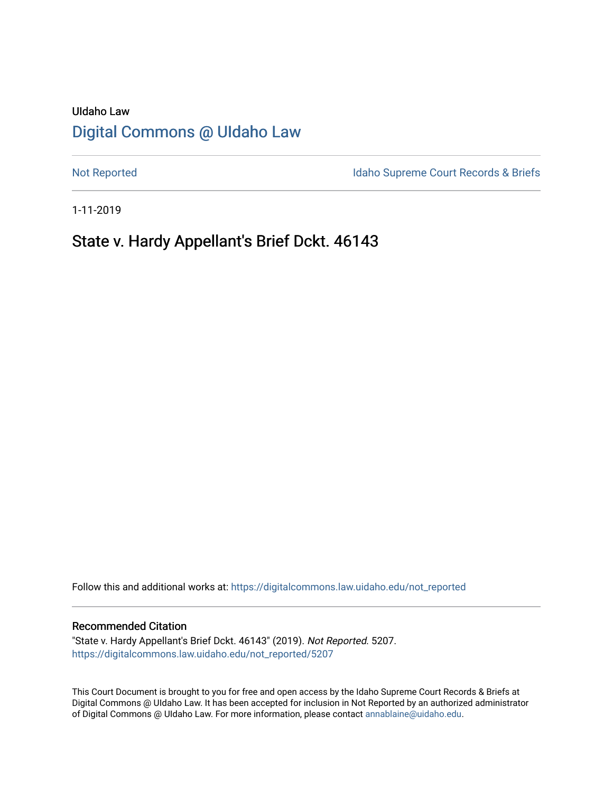# UIdaho Law [Digital Commons @ UIdaho Law](https://digitalcommons.law.uidaho.edu/)

[Not Reported](https://digitalcommons.law.uidaho.edu/not_reported) **Idaho Supreme Court Records & Briefs** 

1-11-2019

# State v. Hardy Appellant's Brief Dckt. 46143

Follow this and additional works at: [https://digitalcommons.law.uidaho.edu/not\\_reported](https://digitalcommons.law.uidaho.edu/not_reported?utm_source=digitalcommons.law.uidaho.edu%2Fnot_reported%2F5207&utm_medium=PDF&utm_campaign=PDFCoverPages) 

#### Recommended Citation

"State v. Hardy Appellant's Brief Dckt. 46143" (2019). Not Reported. 5207. [https://digitalcommons.law.uidaho.edu/not\\_reported/5207](https://digitalcommons.law.uidaho.edu/not_reported/5207?utm_source=digitalcommons.law.uidaho.edu%2Fnot_reported%2F5207&utm_medium=PDF&utm_campaign=PDFCoverPages)

This Court Document is brought to you for free and open access by the Idaho Supreme Court Records & Briefs at Digital Commons @ UIdaho Law. It has been accepted for inclusion in Not Reported by an authorized administrator of Digital Commons @ UIdaho Law. For more information, please contact [annablaine@uidaho.edu](mailto:annablaine@uidaho.edu).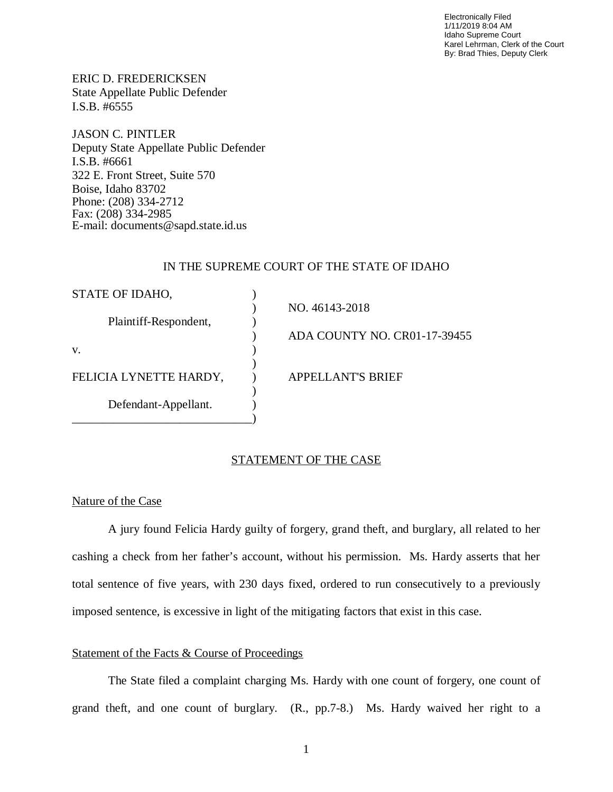Electronically Filed 1/11/2019 8:04 AM Idaho Supreme Court Karel Lehrman, Clerk of the Court By: Brad Thies, Deputy Clerk

ERIC D. FREDERICKSEN State Appellate Public Defender I.S.B. #6555

JASON C. PINTLER Deputy State Appellate Public Defender I.S.B. #6661 322 E. Front Street, Suite 570 Boise, Idaho 83702 Phone: (208) 334-2712 Fax: (208) 334-2985 E-mail: documents@sapd.state.id.us

## IN THE SUPREME COURT OF THE STATE OF IDAHO

| STATE OF IDAHO,        |                              |
|------------------------|------------------------------|
|                        | NO. 46143-2018               |
| Plaintiff-Respondent,  |                              |
|                        | ADA COUNTY NO. CR01-17-39455 |
| V.                     |                              |
|                        |                              |
| FELICIA LYNETTE HARDY, | <b>APPELLANT'S BRIEF</b>     |
|                        |                              |
| Defendant-Appellant.   |                              |
|                        |                              |

## STATEMENT OF THE CASE

### Nature of the Case

A jury found Felicia Hardy guilty of forgery, grand theft, and burglary, all related to her cashing a check from her father's account, without his permission. Ms. Hardy asserts that her total sentence of five years, with 230 days fixed, ordered to run consecutively to a previously imposed sentence, is excessive in light of the mitigating factors that exist in this case.

### Statement of the Facts & Course of Proceedings

The State filed a complaint charging Ms. Hardy with one count of forgery, one count of grand theft, and one count of burglary. (R., pp.7-8.) Ms. Hardy waived her right to a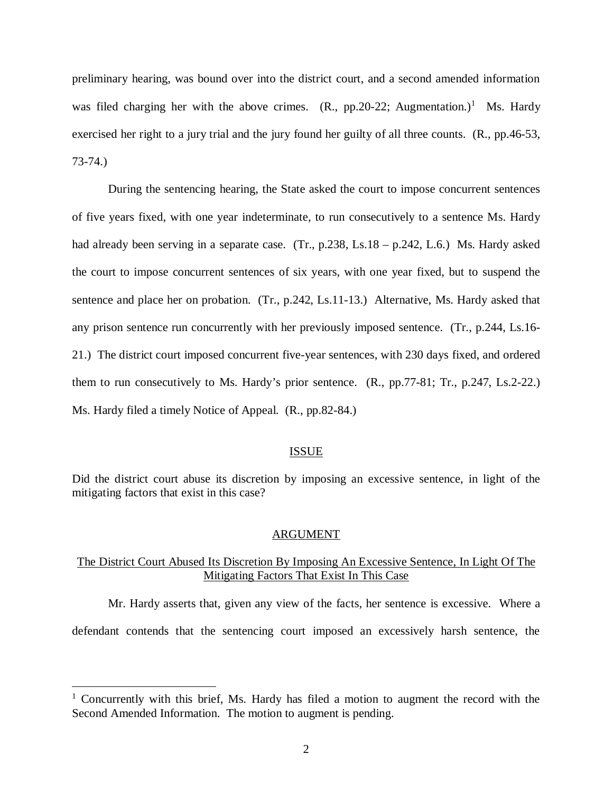preliminary hearing, was bound over into the district court, and a second amended information was filed charging her with the above crimes.  $(R., pp.20-22; Augmentation.)<sup>1</sup>$  $(R., pp.20-22; Augmentation.)<sup>1</sup>$  $(R., pp.20-22; Augmentation.)<sup>1</sup>$  Ms. Hardy exercised her right to a jury trial and the jury found her guilty of all three counts. (R., pp.46-53, 73-74.)

During the sentencing hearing, the State asked the court to impose concurrent sentences of five years fixed, with one year indeterminate, to run consecutively to a sentence Ms. Hardy had already been serving in a separate case. (Tr., p.238, Ls.18 – p.242, L.6.) Ms. Hardy asked the court to impose concurrent sentences of six years, with one year fixed, but to suspend the sentence and place her on probation. (Tr., p.242, Ls.11-13.) Alternative, Ms. Hardy asked that any prison sentence run concurrently with her previously imposed sentence. (Tr., p.244, Ls.16- 21.) The district court imposed concurrent five-year sentences, with 230 days fixed, and ordered them to run consecutively to Ms. Hardy's prior sentence. (R., pp.77-81; Tr., p.247, Ls.2-22.) Ms. Hardy filed a timely Notice of Appeal. (R., pp.82-84.)

#### ISSUE

Did the district court abuse its discretion by imposing an excessive sentence, in light of the mitigating factors that exist in this case?

#### ARGUMENT

# The District Court Abused Its Discretion By Imposing An Excessive Sentence, In Light Of The Mitigating Factors That Exist In This Case

Mr. Hardy asserts that, given any view of the facts, her sentence is excessive. Where a defendant contends that the sentencing court imposed an excessively harsh sentence, the

<span id="page-2-0"></span><sup>&</sup>lt;sup>1</sup> Concurrently with this brief, Ms. Hardy has filed a motion to augment the record with the Second Amended Information. The motion to augment is pending.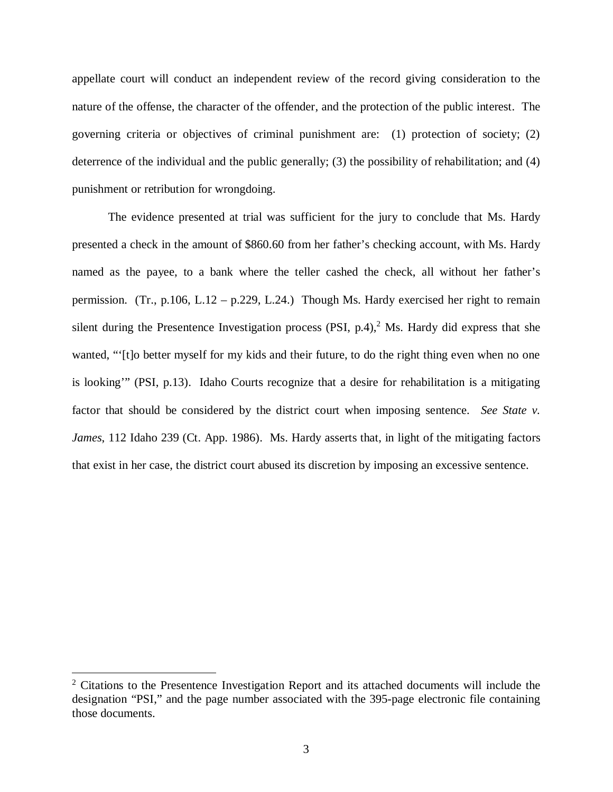appellate court will conduct an independent review of the record giving consideration to the nature of the offense, the character of the offender, and the protection of the public interest. The governing criteria or objectives of criminal punishment are: (1) protection of society; (2) deterrence of the individual and the public generally; (3) the possibility of rehabilitation; and (4) punishment or retribution for wrongdoing.

The evidence presented at trial was sufficient for the jury to conclude that Ms. Hardy presented a check in the amount of \$860.60 from her father's checking account, with Ms. Hardy named as the payee, to a bank where the teller cashed the check, all without her father's permission. (Tr., p.106, L.12 – p.229, L.24.) Though Ms. Hardy exercised her right to remain silent during the Presentence Investigation process (PSI, p.4), $<sup>2</sup>$  $<sup>2</sup>$  $<sup>2</sup>$  Ms. Hardy did express that she</sup> wanted, "'[t]o better myself for my kids and their future, to do the right thing even when no one is looking'" (PSI, p.13). Idaho Courts recognize that a desire for rehabilitation is a mitigating factor that should be considered by the district court when imposing sentence. *See State v. James*, 112 Idaho 239 (Ct. App. 1986). Ms. Hardy asserts that, in light of the mitigating factors that exist in her case, the district court abused its discretion by imposing an excessive sentence.

<span id="page-3-0"></span><sup>&</sup>lt;sup>2</sup> Citations to the Presentence Investigation Report and its attached documents will include the designation "PSI," and the page number associated with the 395-page electronic file containing those documents.